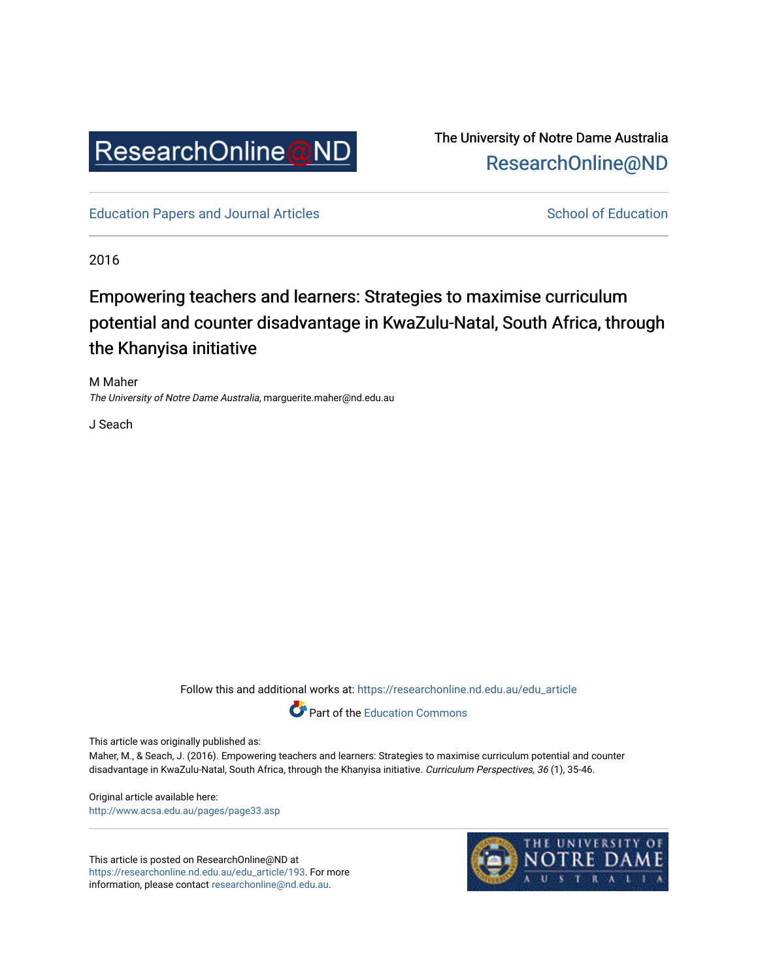

The University of Notre Dame Australia [ResearchOnline@ND](https://researchonline.nd.edu.au/) 

[Education Papers and Journal Articles](https://researchonline.nd.edu.au/edu_article) [School of Education](https://researchonline.nd.edu.au/edu) School of Education

2016

# Empowering teachers and learners: Strategies to maximise curriculum potential and counter disadvantage in KwaZulu-Natal, South Africa, through the Khanyisa initiative

M Maher The University of Notre Dame Australia, marguerite.maher@nd.edu.au

J Seach

Follow this and additional works at: [https://researchonline.nd.edu.au/edu\\_article](https://researchonline.nd.edu.au/edu_article?utm_source=researchonline.nd.edu.au%2Fedu_article%2F193&utm_medium=PDF&utm_campaign=PDFCoverPages)



This article was originally published as:

Maher, M., & Seach, J. (2016). Empowering teachers and learners: Strategies to maximise curriculum potential and counter disadvantage in KwaZulu-Natal, South Africa, through the Khanyisa initiative. Curriculum Perspectives, 36 (1), 35-46.

Original article available here: <http://www.acsa.edu.au/pages/page33.asp>

This article is posted on ResearchOnline@ND at [https://researchonline.nd.edu.au/edu\\_article/193](https://researchonline.nd.edu.au/edu_article/193). For more information, please contact [researchonline@nd.edu.au.](mailto:researchonline@nd.edu.au)

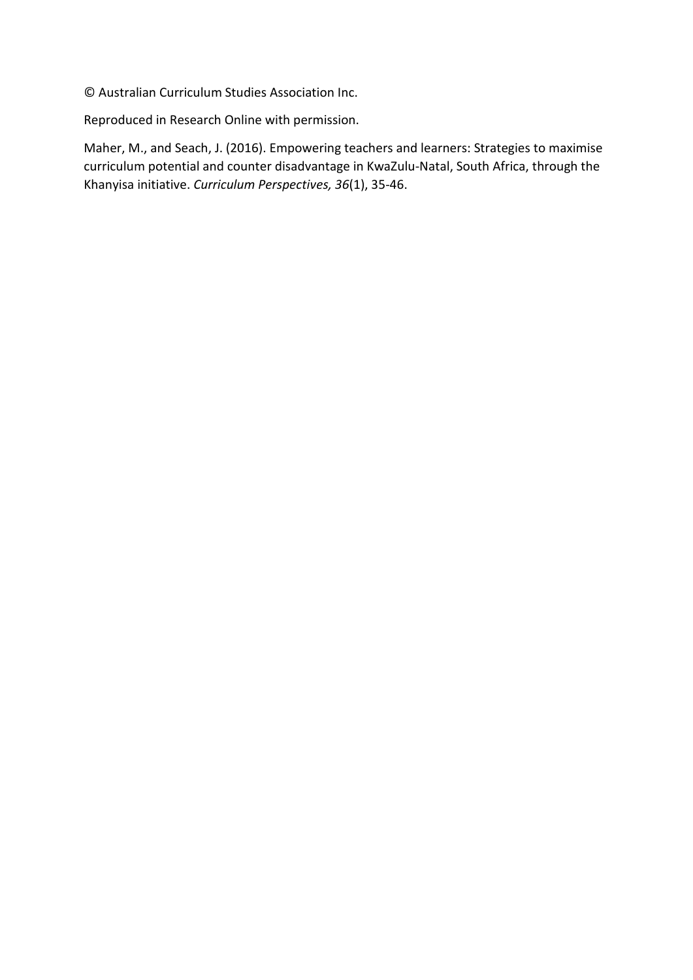© Australian Curriculum Studies Association Inc.

Reproduced in Research Online with permission.

Maher, M., and Seach, J. (2016). Empowering teachers and learners: Strategies to maximise curriculum potential and counter disadvantage in KwaZulu-Natal, South Africa, through the Khanyisa initiative. *Curriculum Perspectives, 36*(1), 35-46.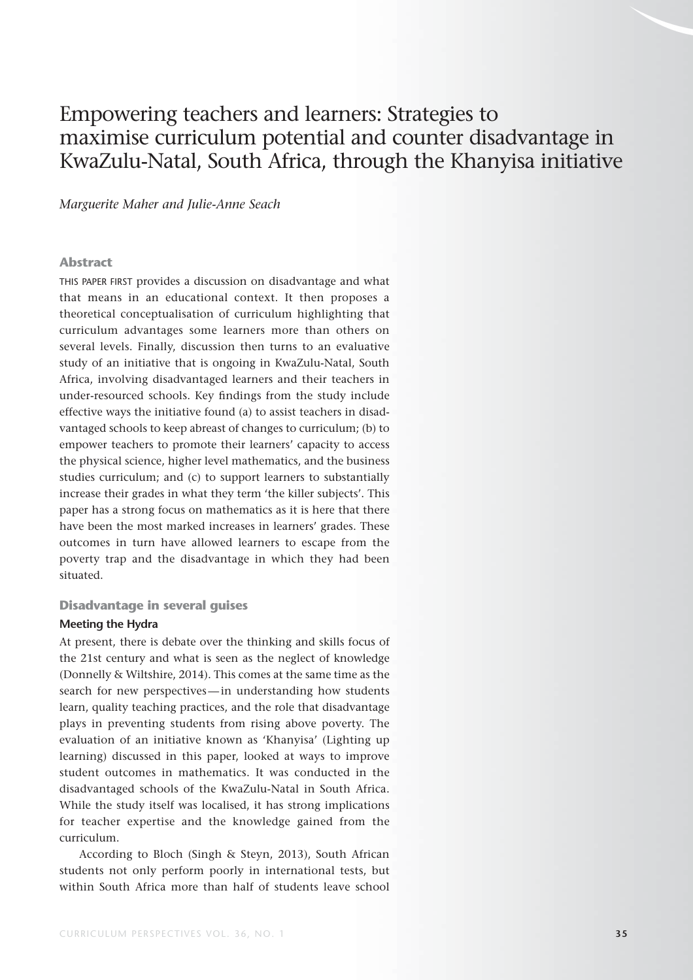# Empowering teachers and learners: Strategies to maximise curriculum potential and counter disadvantage in KwaZulu-Natal, South Africa, through the Khanyisa initiative

#### *Marguerite Maher and Julie-Anne Seach*

#### **Abstract**

THIS PAPER FIRST provides a discussion on disadvantage and what that means in an educational context. It then proposes a theoretical conceptualisation of curriculum highlighting that curriculum advantages some learners more than others on several levels. Finally, discussion then turns to an evaluative study of an initiative that is ongoing in KwaZulu-Natal, South Africa, involving disadvantaged learners and their teachers in under-resourced schools. Key findings from the study include effective ways the initiative found (a) to assist teachers in disadvantaged schools to keep abreast of changes to curriculum; (b) to empower teachers to promote their learners' capacity to access the physical science, higher level mathematics, and the business studies curriculum; and (c) to support learners to substantially increase their grades in what they term 'the killer subjects'. This paper has a strong focus on mathematics as it is here that there have been the most marked increases in learners' grades. These outcomes in turn have allowed learners to escape from the poverty trap and the disadvantage in which they had been situated.

#### **Disadvantage in several guises**

#### **Meeting the Hydra**

At present, there is debate over the thinking and skills focus of the 21st century and what is seen as the neglect of knowledge (Donnelly & Wiltshire, 2014). This comes at the same time as the search for new perspectives — in understanding how students learn, quality teaching practices, and the role that disadvantage plays in preventing students from rising above poverty. The evaluation of an initiative known as 'Khanyisa' (Lighting up learning) discussed in this paper, looked at ways to improve student outcomes in mathematics. It was conducted in the disadvantaged schools of the KwaZulu-Natal in South Africa. While the study itself was localised, it has strong implications for teacher expertise and the knowledge gained from the curriculum.

According to Bloch (Singh & Steyn, 2013), South African students not only perform poorly in international tests, but within South Africa more than half of students leave school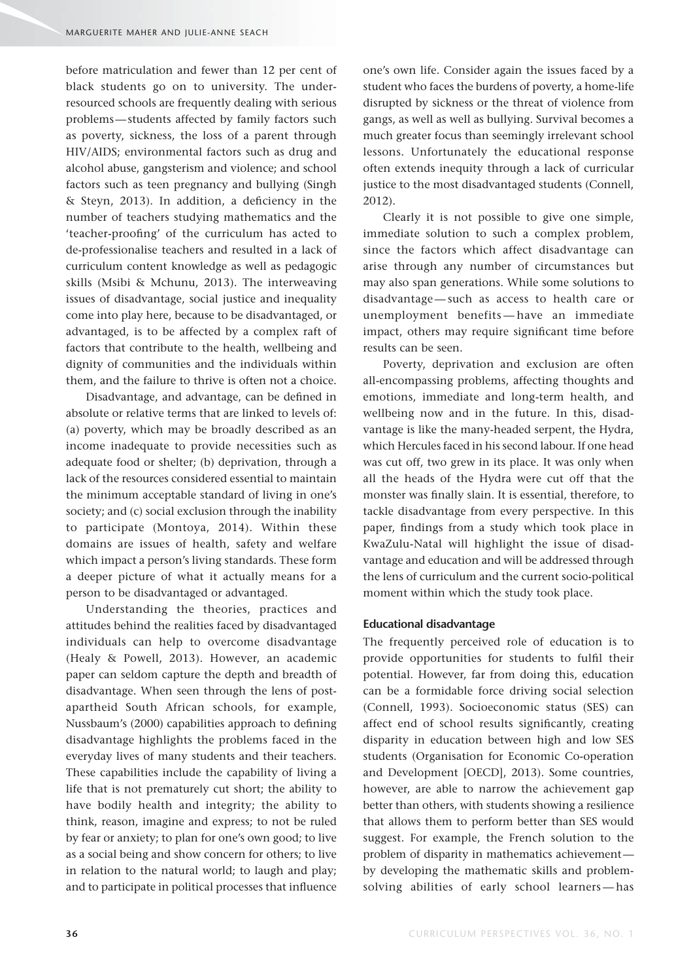before matriculation and fewer than 12 per cent of black students go on to university. The underresourced schools are frequently dealing with serious problems — students affected by family factors such as poverty, sickness, the loss of a parent through HIV/AIDS; environmental factors such as drug and alcohol abuse, gangsterism and violence; and school factors such as teen pregnancy and bullying (Singh  $&$  Steyn, 2013). In addition, a deficiency in the number of teachers studying mathematics and the 'teacher-proofing' of the curriculum has acted to de-professionalise teachers and resulted in a lack of curriculum content knowledge as well as pedagogic skills (Msibi & Mchunu, 2013). The interweaving issues of disadvantage, social justice and inequality come into play here, because to be disadvantaged, or advantaged, is to be affected by a complex raft of factors that contribute to the health, wellbeing and dignity of communities and the individuals within them, and the failure to thrive is often not a choice.

Disadvantage, and advantage, can be defined in absolute or relative terms that are linked to levels of: (a) poverty, which may be broadly described as an income inadequate to provide necessities such as adequate food or shelter; (b) deprivation, through a lack of the resources considered essential to maintain the minimum acceptable standard of living in one's society; and (c) social exclusion through the inability to participate (Montoya, 2014). Within these domains are issues of health, safety and welfare which impact a person's living standards. These form a deeper picture of what it actually means for a person to be disadvantaged or advantaged.

Understanding the theories, practices and attitudes behind the realities faced by disadvantaged individuals can help to overcome disadvantage (Healy & Powell, 2013). However, an academic paper can seldom capture the depth and breadth of disadvantage. When seen through the lens of postapartheid South African schools, for example, Nussbaum's (2000) capabilities approach to defining disadvantage highlights the problems faced in the everyday lives of many students and their teachers. These capabilities include the capability of living a life that is not prematurely cut short; the ability to have bodily health and integrity; the ability to think, reason, imagine and express; to not be ruled by fear or anxiety; to plan for one's own good; to live as a social being and show concern for others; to live in relation to the natural world; to laugh and play; and to participate in political processes that influence

one's own life. Consider again the issues faced by a student who faces the burdens of poverty, a home-life disrupted by sickness or the threat of violence from gangs, as well as well as bullying. Survival becomes a much greater focus than seemingly irrelevant school lessons. Unfortunately the educational response often extends inequity through a lack of curricular justice to the most disadvantaged students (Connell, 2012).

Clearly it is not possible to give one simple, immediate solution to such a complex problem, since the factors which affect disadvantage can arise through any number of circumstances but may also span generations. While some solutions to disadvantage — such as access to health care or unemployment benefits — have an immediate impact, others may require significant time before results can be seen.

Poverty, deprivation and exclusion are often all-encompassing problems, affecting thoughts and emotions, immediate and long-term health, and wellbeing now and in the future. In this, disadvantage is like the many-headed serpent, the Hydra, which Hercules faced in his second labour. If one head was cut off, two grew in its place. It was only when all the heads of the Hydra were cut off that the monster was finally slain. It is essential, therefore, to tackle disadvantage from every perspective. In this paper, findings from a study which took place in KwaZulu-Natal will highlight the issue of disadvantage and education and will be addressed through the lens of curriculum and the current socio-political moment within which the study took place.

#### **Educational disadvantage**

The frequently perceived role of education is to provide opportunities for students to fulfil their potential. However, far from doing this, education can be a formidable force driving social selection (Connell, 1993). Socioeconomic status (SES) can affect end of school results significantly, creating disparity in education between high and low SES students (Organisation for Economic Co-operation and Development [OECD], 2013). Some countries, however, are able to narrow the achievement gap better than others, with students showing a resilience that allows them to perform better than SES would suggest. For example, the French solution to the problem of disparity in mathematics achievement by developing the mathematic skills and problemsolving abilities of early school learners — has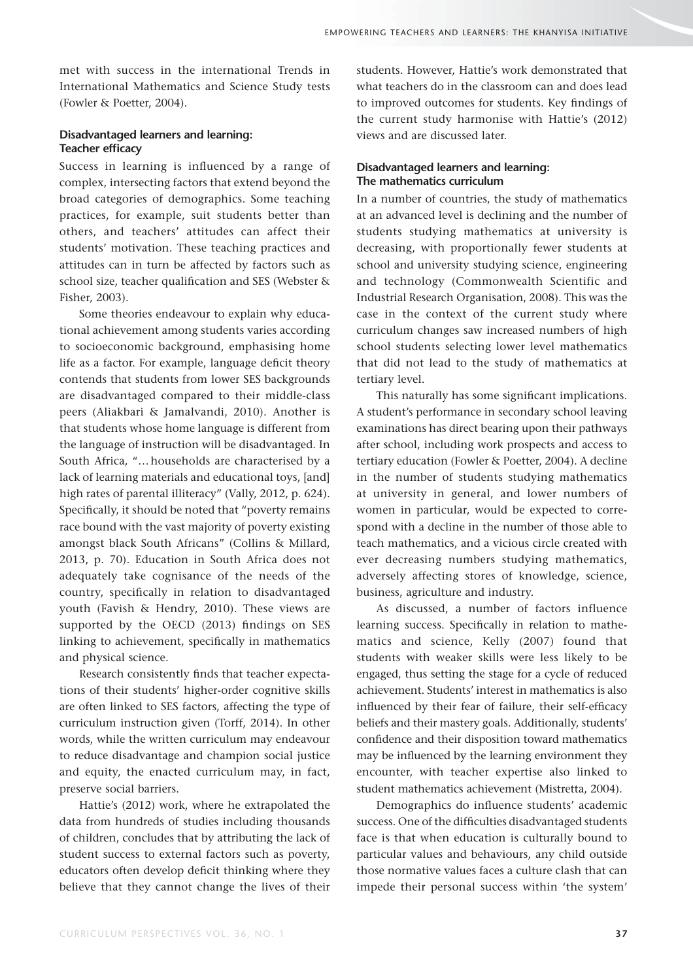met with success in the international Trends in International Mathematics and Science Study tests (Fowler & Poetter, 2004).

# **Disadvantaged learners and learning: Teacher efficacy**

Success in learning is influenced by a range of complex, intersecting factors that extend beyond the broad categories of demographics. Some teaching practices, for example, suit students better than others, and teachers' attitudes can affect their students' motivation. These teaching practices and attitudes can in turn be affected by factors such as school size, teacher qualification and SES (Webster & Fisher, 2003).

Some theories endeavour to explain why educational achievement among students varies according to socioeconomic background, emphasising home life as a factor. For example, language deficit theory contends that students from lower SES backgrounds are disadvantaged compared to their middle-class peers (Aliakbari & Jamalvandi, 2010). Another is that students whose home language is different from the language of instruction will be disadvantaged. In South Africa, "… households are characterised by a lack of learning materials and educational toys, [and] high rates of parental illiteracy" (Vally, 2012, p. 624). Specifically, it should be noted that "poverty remains race bound with the vast majority of poverty existing amongst black South Africans" (Collins & Millard, 2013, p. 70). Education in South Africa does not adequately take cognisance of the needs of the country, specifically in relation to disadvantaged youth (Favish & Hendry, 2010). These views are supported by the OECD  $(2013)$  findings on SES linking to achievement, specifically in mathematics and physical science.

Research consistently finds that teacher expectations of their students' higher-order cognitive skills are often linked to SES factors, affecting the type of curriculum instruction given (Torff, 2014). In other words, while the written curriculum may endeavour to reduce disadvantage and champion social justice and equity, the enacted curriculum may, in fact, preserve social barriers.

Hattie's (2012) work, where he extrapolated the data from hundreds of studies including thousands of children, concludes that by attributing the lack of student success to external factors such as poverty, educators often develop deficit thinking where they believe that they cannot change the lives of their students. However, Hattie's work demonstrated that what teachers do in the classroom can and does lead to improved outcomes for students. Key findings of the current study harmonise with Hattie's (2012) views and are discussed later.

### **Disadvantaged learners and learning: The mathematics curriculum**

In a number of countries, the study of mathematics at an advanced level is declining and the number of students studying mathematics at university is decreasing, with proportionally fewer students at school and university studying science, engineering and technology (Commonwealth Scientific and Industrial Research Organisation, 2008). This was the case in the context of the current study where curriculum changes saw increased numbers of high school students selecting lower level mathematics that did not lead to the study of mathematics at tertiary level.

This naturally has some significant implications. A student's performance in secondary school leaving examinations has direct bearing upon their pathways after school, including work prospects and access to tertiary education (Fowler & Poetter, 2004). A decline in the number of students studying mathematics at university in general, and lower numbers of women in particular, would be expected to correspond with a decline in the number of those able to teach mathematics, and a vicious circle created with ever decreasing numbers studying mathematics, adversely affecting stores of knowledge, science, business, agriculture and industry.

As discussed, a number of factors influence learning success. Specifically in relation to mathematics and science, Kelly (2007) found that students with weaker skills were less likely to be engaged, thus setting the stage for a cycle of reduced achievement. Students' interest in mathematics is also influenced by their fear of failure, their self-efficacy beliefs and their mastery goals. Additionally, students' confidence and their disposition toward mathematics may be influenced by the learning environment they encounter, with teacher expertise also linked to student mathematics achievement (Mistretta, 2004).

Demographics do influence students' academic success. One of the difficulties disadvantaged students face is that when education is culturally bound to particular values and behaviours, any child outside those normative values faces a culture clash that can impede their personal success within 'the system'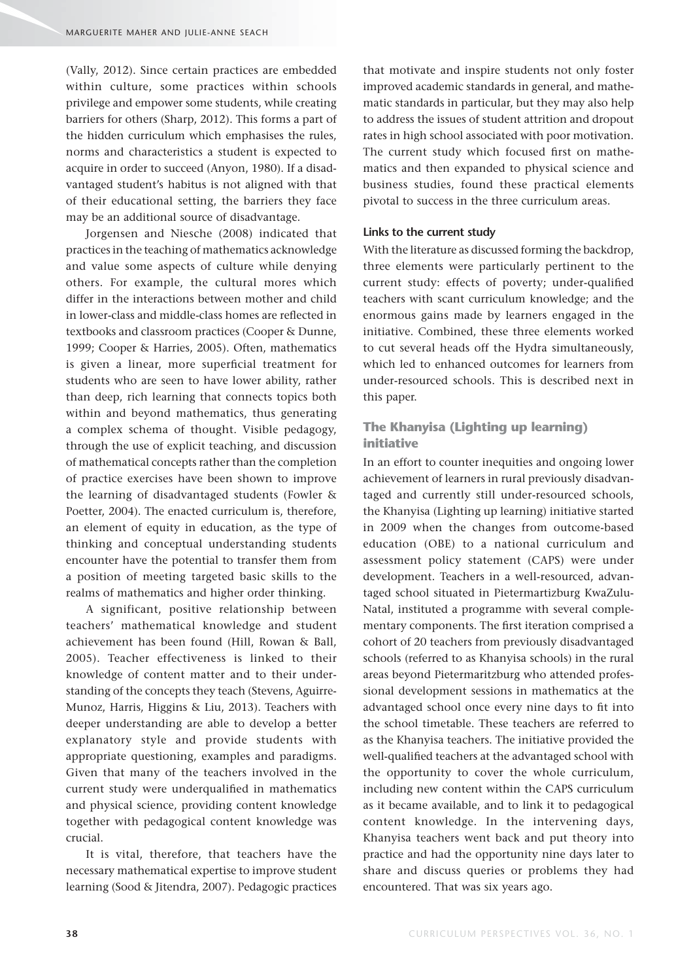(Vally, 2012). Since certain practices are embedded within culture, some practices within schools privilege and empower some students, while creating barriers for others (Sharp, 2012). This forms a part of the hidden curriculum which emphasises the rules, norms and characteristics a student is expected to acquire in order to succeed (Anyon, 1980). If a disadvantaged student's habitus is not aligned with that of their educational setting, the barriers they face may be an additional source of disadvantage.

Jorgensen and Niesche (2008) indicated that practices in the teaching of mathematics acknowledge and value some aspects of culture while denying others. For example, the cultural mores which differ in the interactions between mother and child in lower-class and middle-class homes are reflected in textbooks and classroom practices (Cooper & Dunne, 1999; Cooper & Harries, 2005). Often, mathematics is given a linear, more superficial treatment for students who are seen to have lower ability, rather than deep, rich learning that connects topics both within and beyond mathematics, thus generating a complex schema of thought. Visible pedagogy, through the use of explicit teaching, and discussion of mathematical concepts rather than the completion of practice exercises have been shown to improve the learning of disadvantaged students (Fowler & Poetter, 2004). The enacted curriculum is, therefore, an element of equity in education, as the type of thinking and conceptual understanding students encounter have the potential to transfer them from a position of meeting targeted basic skills to the realms of mathematics and higher order thinking.

A significant, positive relationship between teachers' mathematical knowledge and student achievement has been found (Hill, Rowan & Ball, 2005). Teacher effectiveness is linked to their knowledge of content matter and to their understanding of the concepts they teach (Stevens, Aguirre-Munoz, Harris, Higgins & Liu, 2013). Teachers with deeper understanding are able to develop a better explanatory style and provide students with appropriate questioning, examples and paradigms. Given that many of the teachers involved in the current study were underqualified in mathematics and physical science, providing content knowledge together with pedagogical content knowledge was crucial.

It is vital, therefore, that teachers have the necessary mathematical expertise to improve student learning (Sood & Jitendra, 2007). Pedagogic practices that motivate and inspire students not only foster improved academic standards in general, and mathematic standards in particular, but they may also help to address the issues of student attrition and dropout rates in high school associated with poor motivation. The current study which focused first on mathematics and then expanded to physical science and business studies, found these practical elements pivotal to success in the three curriculum areas.

#### **Links to the current study**

With the literature as discussed forming the backdrop, three elements were particularly pertinent to the current study: effects of poverty; under-qualified teachers with scant curriculum knowledge; and the enormous gains made by learners engaged in the initiative. Combined, these three elements worked to cut several heads off the Hydra simultaneously, which led to enhanced outcomes for learners from under-resourced schools. This is described next in this paper.

# **The Khanyisa (Lighting up learning) initiative**

In an effort to counter inequities and ongoing lower achievement of learners in rural previously disadvantaged and currently still under-resourced schools, the Khanyisa (Lighting up learning) initiative started in 2009 when the changes from outcome-based education (OBE) to a national curriculum and assessment policy statement (CAPS) were under development. Teachers in a well-resourced, advantaged school situated in Pietermartizburg KwaZulu-Natal, instituted a programme with several complementary components. The first iteration comprised a cohort of 20 teachers from previously disadvantaged schools (referred to as Khanyisa schools) in the rural areas beyond Pietermaritzburg who attended professional development sessions in mathematics at the advantaged school once every nine days to fit into the school timetable. These teachers are referred to as the Khanyisa teachers. The initiative provided the well-qualified teachers at the advantaged school with the opportunity to cover the whole curriculum, including new content within the CAPS curriculum as it became available, and to link it to pedagogical content knowledge. In the intervening days, Khanyisa teachers went back and put theory into practice and had the opportunity nine days later to share and discuss queries or problems they had encountered. That was six years ago.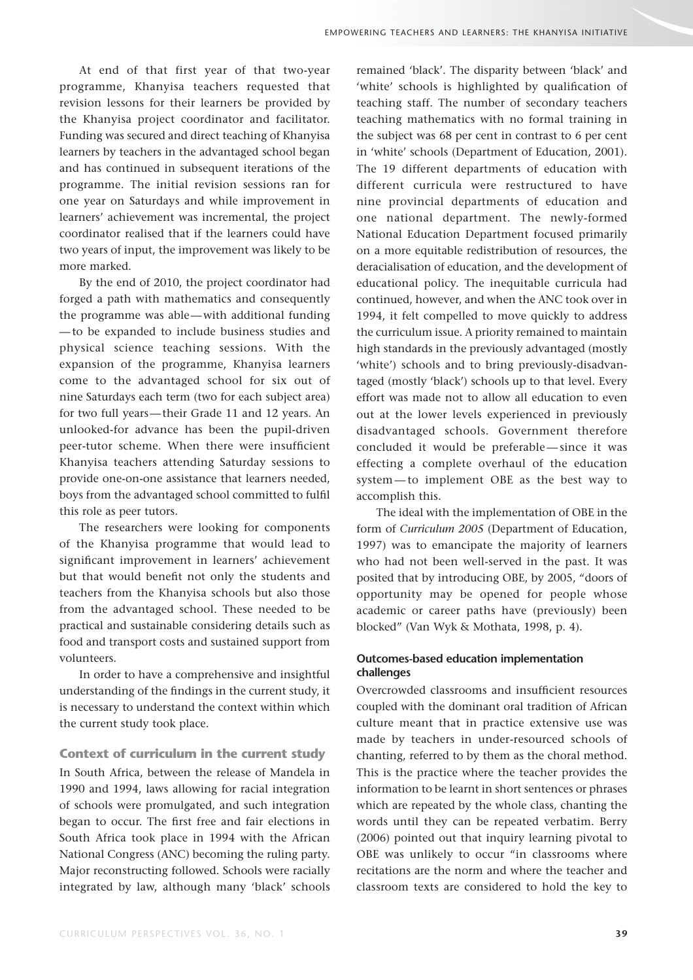At end of that first year of that two-year programme, Khanyisa teachers requested that revision lessons for their learners be provided by the Khanyisa project coordinator and facilitator. Funding was secured and direct teaching of Khanyisa learners by teachers in the advantaged school began and has continued in subsequent iterations of the programme. The initial revision sessions ran for one year on Saturdays and while improvement in learners' achievement was incremental, the project coordinator realised that if the learners could have two years of input, the improvement was likely to be more marked.

By the end of 2010, the project coordinator had forged a path with mathematics and consequently the programme was able — with additional funding — to be expanded to include business studies and physical science teaching sessions. With the expansion of the programme, Khanyisa learners come to the advantaged school for six out of nine Saturdays each term (two for each subject area) for two full years — their Grade 11 and 12 years. An unlooked-for advance has been the pupil-driven peer-tutor scheme. When there were insufficient Khanyisa teachers attending Saturday sessions to provide one-on-one assistance that learners needed, boys from the advantaged school committed to fulfil this role as peer tutors.

The researchers were looking for components of the Khanyisa programme that would lead to significant improvement in learners' achievement but that would benefit not only the students and teachers from the Khanyisa schools but also those from the advantaged school. These needed to be practical and sustainable considering details such as food and transport costs and sustained support from volunteers.

In order to have a comprehensive and insightful understanding of the findings in the current study, it is necessary to understand the context within which the current study took place.

# **Context of curriculum in the current study**

In South Africa, between the release of Mandela in 1990 and 1994, laws allowing for racial integration of schools were promulgated, and such integration began to occur. The first free and fair elections in South Africa took place in 1994 with the African National Congress (ANC) becoming the ruling party. Major reconstructing followed. Schools were racially integrated by law, although many 'black' schools remained 'black'. The disparity between 'black' and 'white' schools is highlighted by qualification of teaching staff. The number of secondary teachers teaching mathematics with no formal training in the subject was 68 per cent in contrast to 6 per cent in 'white' schools (Department of Education, 2001). The 19 different departments of education with different curricula were restructured to have nine provincial departments of education and one national department. The newly-formed National Education Department focused primarily on a more equitable redistribution of resources, the deracialisation of education, and the development of educational policy. The inequitable curricula had continued, however, and when the ANC took over in 1994, it felt compelled to move quickly to address the curriculum issue. A priority remained to maintain high standards in the previously advantaged (mostly 'white') schools and to bring previously-disadvantaged (mostly 'black') schools up to that level. Every effort was made not to allow all education to even out at the lower levels experienced in previously disadvantaged schools. Government therefore concluded it would be preferable — since it was effecting a complete overhaul of the education system — to implement OBE as the best way to accomplish this.

The ideal with the implementation of OBE in the form of *Curriculum 2005* (Department of Education, 1997) was to emancipate the majority of learners who had not been well-served in the past. It was posited that by introducing OBE, by 2005, "doors of opportunity may be opened for people whose academic or career paths have (previously) been blocked" (Van Wyk & Mothata, 1998, p. 4).

# **Outcomes-based education implementation challenges**

Overcrowded classrooms and insufficient resources coupled with the dominant oral tradition of African culture meant that in practice extensive use was made by teachers in under-resourced schools of chanting, referred to by them as the choral method. This is the practice where the teacher provides the information to be learnt in short sentences or phrases which are repeated by the whole class, chanting the words until they can be repeated verbatim. Berry (2006) pointed out that inquiry learning pivotal to OBE was unlikely to occur "in classrooms where recitations are the norm and where the teacher and classroom texts are considered to hold the key to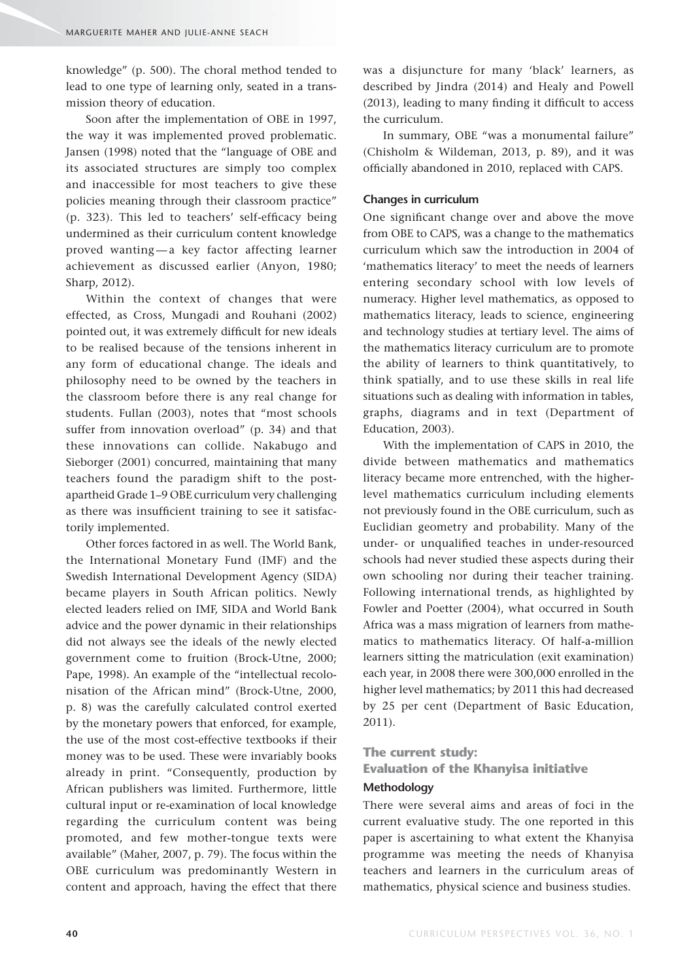knowledge" (p. 500). The choral method tended to lead to one type of learning only, seated in a transmission theory of education.

Soon after the implementation of OBE in 1997, the way it was implemented proved problematic. Jansen (1998) noted that the "language of OBE and its associated structures are simply too complex and inaccessible for most teachers to give these policies meaning through their classroom practice"  $(p. 323)$ . This led to teachers' self-efficacy being undermined as their curriculum content knowledge proved wanting — a key factor affecting learner achievement as discussed earlier (Anyon, 1980; Sharp, 2012).

Within the context of changes that were effected, as Cross, Mungadi and Rouhani (2002) pointed out, it was extremely difficult for new ideals to be realised because of the tensions inherent in any form of educational change. The ideals and philosophy need to be owned by the teachers in the classroom before there is any real change for students. Fullan (2003), notes that "most schools suffer from innovation overload" (p. 34) and that these innovations can collide. Nakabugo and Sieborger (2001) concurred, maintaining that many teachers found the paradigm shift to the postapartheid Grade 1–9 OBE curriculum very challenging as there was insufficient training to see it satisfactorily implemented.

Other forces factored in as well. The World Bank, the International Monetary Fund (IMF) and the Swedish International Development Agency (SIDA) became players in South African politics. Newly elected leaders relied on IMF, SIDA and World Bank advice and the power dynamic in their relationships did not always see the ideals of the newly elected government come to fruition (Brock-Utne, 2000; Pape, 1998). An example of the "intellectual recolonisation of the African mind" (Brock-Utne, 2000, p. 8) was the carefully calculated control exerted by the monetary powers that enforced, for example, the use of the most cost-effective textbooks if their money was to be used. These were invariably books already in print. "Consequently, production by African publishers was limited. Furthermore, little cultural input or re-examination of local knowledge regarding the curriculum content was being promoted, and few mother-tongue texts were available" (Maher, 2007, p. 79). The focus within the OBE curriculum was predominantly Western in content and approach, having the effect that there

was a disjuncture for many 'black' learners, as described by Jindra (2014) and Healy and Powell  $(2013)$ , leading to many finding it difficult to access the curriculum.

In summary, OBE "was a monumental failure" (Chisholm & Wildeman, 2013, p. 89), and it was officially abandoned in 2010, replaced with CAPS.

#### **Changes in curriculum**

One significant change over and above the move from OBE to CAPS, was a change to the mathematics curriculum which saw the introduction in 2004 of 'mathematics literacy' to meet the needs of learners entering secondary school with low levels of numeracy. Higher level mathematics, as opposed to mathematics literacy, leads to science, engineering and technology studies at tertiary level. The aims of the mathematics literacy curriculum are to promote the ability of learners to think quantitatively, to think spatially, and to use these skills in real life situations such as dealing with information in tables, graphs, diagrams and in text (Department of Education, 2003).

With the implementation of CAPS in 2010, the divide between mathematics and mathematics literacy became more entrenched, with the higherlevel mathematics curriculum including elements not previously found in the OBE curriculum, such as Euclidian geometry and probability. Many of the under- or unqualified teaches in under-resourced schools had never studied these aspects during their own schooling nor during their teacher training. Following international trends, as highlighted by Fowler and Poetter (2004), what occurred in South Africa was a mass migration of learners from mathematics to mathematics literacy. Of half-a-million learners sitting the matriculation (exit examination) each year, in 2008 there were 300,000 enrolled in the higher level mathematics; by 2011 this had decreased by 25 per cent (Department of Basic Education, 2011).

#### **The current study:**

# **Evaluation of the Khanyisa initiative Methodology**

There were several aims and areas of foci in the current evaluative study. The one reported in this paper is ascertaining to what extent the Khanyisa programme was meeting the needs of Khanyisa teachers and learners in the curriculum areas of mathematics, physical science and business studies.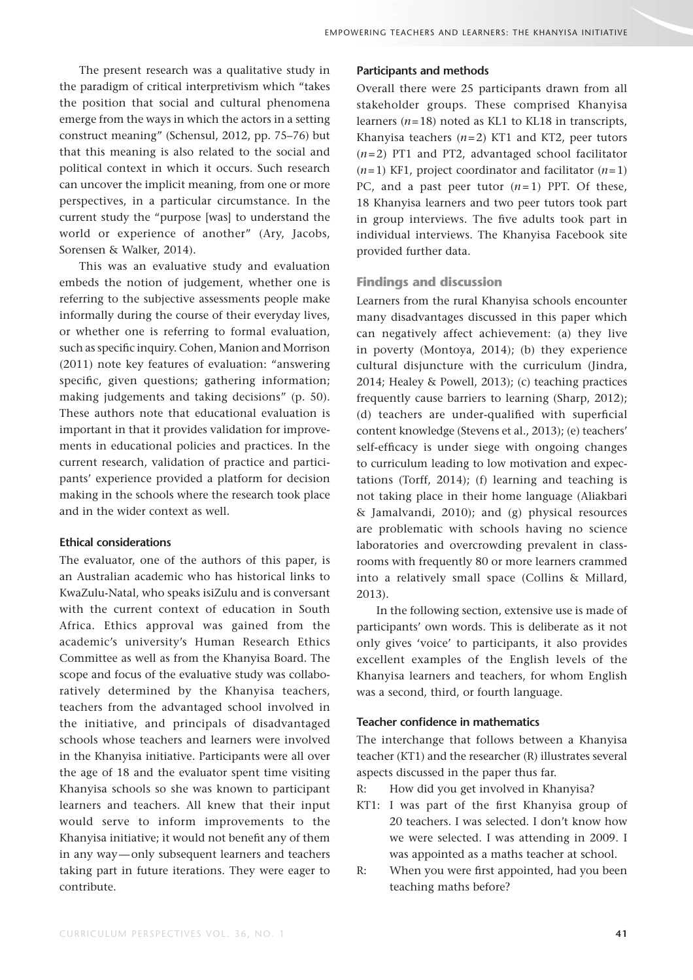The present research was a qualitative study in the paradigm of critical interpretivism which "takes the position that social and cultural phenomena emerge from the ways in which the actors in a setting construct meaning" (Schensul, 2012, pp. 75–76) but that this meaning is also related to the social and political context in which it occurs. Such research can uncover the implicit meaning, from one or more perspectives, in a particular circumstance. In the current study the "purpose [was] to understand the world or experience of another" (Ary, Jacobs, Sorensen & Walker, 2014).

This was an evaluative study and evaluation embeds the notion of judgement, whether one is referring to the subjective assessments people make informally during the course of their everyday lives, or whether one is referring to formal evaluation, such as specific inquiry. Cohen, Manion and Morrison (2011) note key features of evaluation: "answering specific, given questions; gathering information; making judgements and taking decisions" (p. 50). These authors note that educational evaluation is important in that it provides validation for improvements in educational policies and practices. In the current research, validation of practice and participants' experience provided a platform for decision making in the schools where the research took place and in the wider context as well.

#### **Ethical considerations**

The evaluator, one of the authors of this paper, is an Australian academic who has historical links to KwaZulu-Natal, who speaks isiZulu and is conversant with the current context of education in South Africa. Ethics approval was gained from the academic's university's Human Research Ethics Committee as well as from the Khanyisa Board. The scope and focus of the evaluative study was collaboratively determined by the Khanyisa teachers, teachers from the advantaged school involved in the initiative, and principals of disadvantaged schools whose teachers and learners were involved in the Khanyisa initiative. Participants were all over the age of 18 and the evaluator spent time visiting Khanyisa schools so she was known to participant learners and teachers. All knew that their input would serve to inform improvements to the Khanyisa initiative; it would not benefit any of them in any way — only subsequent learners and teachers taking part in future iterations. They were eager to contribute.

#### **Participants and methods**

Overall there were 25 participants drawn from all stakeholder groups. These comprised Khanyisa learners  $(n=18)$  noted as KL1 to KL18 in transcripts, Khanyisa teachers  $(n=2)$  KT1 and KT2, peer tutors (*n* = 2) PT1 and PT2, advantaged school facilitator  $(n=1)$  KF1, project coordinator and facilitator  $(n=1)$ PC, and a past peer tutor  $(n=1)$  PPT. Of these, 18 Khanyisa learners and two peer tutors took part in group interviews. The five adults took part in individual interviews. The Khanyisa Facebook site provided further data.

#### **Findings and discussion**

Learners from the rural Khanyisa schools encounter many disadvantages discussed in this paper which can negatively affect achievement: (a) they live in poverty (Montoya, 2014); (b) they experience cultural disjuncture with the curriculum (Jindra, 2014; Healey & Powell, 2013); (c) teaching practices frequently cause barriers to learning (Sharp, 2012);  $(d)$  teachers are under-qualified with superficial content knowledge (Stevens et al., 2013); (e) teachers' self-efficacy is under siege with ongoing changes to curriculum leading to low motivation and expectations (Torff, 2014); (f) learning and teaching is not taking place in their home language (Aliakbari & Jamalvandi, 2010); and (g) physical resources are problematic with schools having no science laboratories and overcrowding prevalent in classrooms with frequently 80 or more learners crammed into a relatively small space (Collins & Millard, 2013).

In the following section, extensive use is made of participants' own words. This is deliberate as it not only gives 'voice' to participants, it also provides excellent examples of the English levels of the Khanyisa learners and teachers, for whom English was a second, third, or fourth language.

#### **Teacher confidence in mathematics**

The interchange that follows between a Khanyisa teacher (KT1) and the researcher (R) illustrates several aspects discussed in the paper thus far.

- R: How did you get involved in Khanyisa?
- KT1: I was part of the first Khanyisa group of 20 teachers. I was selected. I don't know how we were selected. I was attending in 2009. I was appointed as a maths teacher at school.
- R: When you were first appointed, had you been teaching maths before?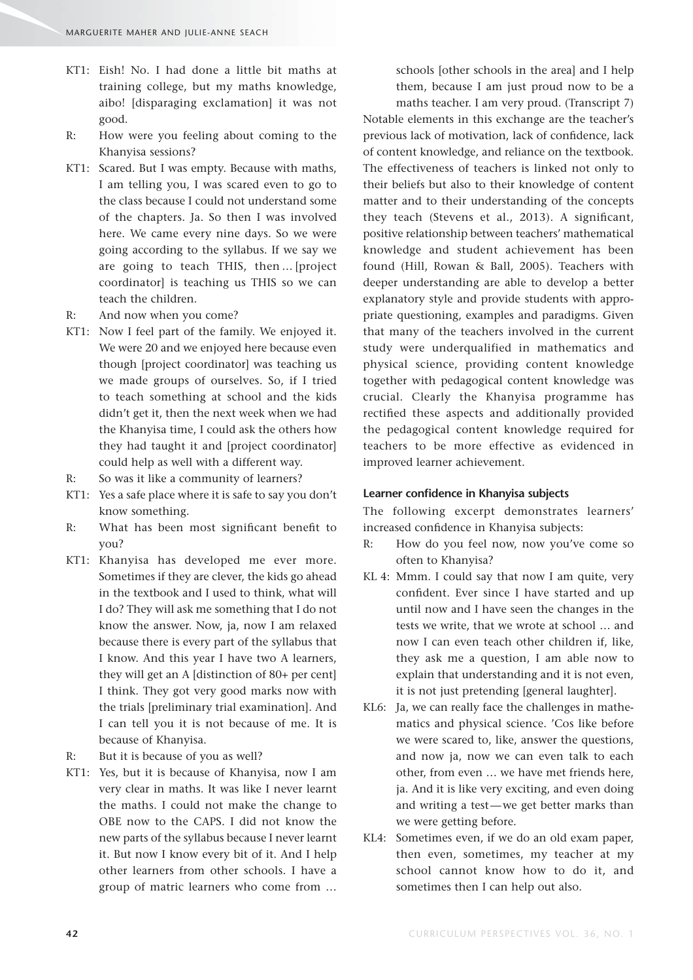- KT1: Eish! No. I had done a little bit maths at training college, but my maths knowledge, aibo! [disparaging exclamation] it was not good.
- R: How were you feeling about coming to the Khanyisa sessions?
- KT1: Scared. But I was empty. Because with maths, I am telling you, I was scared even to go to the class because I could not understand some of the chapters. Ja. So then I was involved here. We came every nine days. So we were going according to the syllabus. If we say we are going to teach THIS, then … [project coordinator] is teaching us THIS so we can teach the children.
- R: And now when you come?
- KT1: Now I feel part of the family. We enjoyed it. We were 20 and we enjoyed here because even though [project coordinator] was teaching us we made groups of ourselves. So, if I tried to teach something at school and the kids didn't get it, then the next week when we had the Khanyisa time, I could ask the others how they had taught it and [project coordinator] could help as well with a different way.
- R: So was it like a community of learners?
- KT1: Yes a safe place where it is safe to say you don't know something.
- R: What has been most significant benefit to you?
- KT1: Khanyisa has developed me ever more. Sometimes if they are clever, the kids go ahead in the textbook and I used to think, what will I do? They will ask me something that I do not know the answer. Now, ja, now I am relaxed because there is every part of the syllabus that I know. And this year I have two A learners, they will get an A [distinction of 80+ per cent] I think. They got very good marks now with the trials [preliminary trial examination]. And I can tell you it is not because of me. It is because of Khanyisa.
- R: But it is because of you as well?
- KT1: Yes, but it is because of Khanyisa, now I am very clear in maths. It was like I never learnt the maths. I could not make the change to OBE now to the CAPS. I did not know the new parts of the syllabus because I never learnt it. But now I know every bit of it. And I help other learners from other schools. I have a group of matric learners who come from …

schools [other schools in the area] and I help them, because I am just proud now to be a

maths teacher. I am very proud. (Transcript 7) Notable elements in this exchange are the teacher's previous lack of motivation, lack of confidence, lack of content knowledge, and reliance on the textbook. The effectiveness of teachers is linked not only to their beliefs but also to their knowledge of content matter and to their understanding of the concepts they teach (Stevens et al., 2013). A significant, positive relationship between teachers' mathematical knowledge and student achievement has been found (Hill, Rowan & Ball, 2005). Teachers with deeper understanding are able to develop a better explanatory style and provide students with appropriate questioning, examples and paradigms. Given that many of the teachers involved in the current study were underqualified in mathematics and physical science, providing content knowledge together with pedagogical content knowledge was crucial. Clearly the Khanyisa programme has rectified these aspects and additionally provided the pedagogical content knowledge required for teachers to be more effective as evidenced in improved learner achievement.

#### Learner confidence in Khanyisa subjects

The following excerpt demonstrates learners' increased confidence in Khanyisa subjects:

- R: How do you feel now, now you've come so often to Khanyisa?
- KL 4: Mmm. I could say that now I am quite, very confident. Ever since I have started and up until now and I have seen the changes in the tests we write, that we wrote at school … and now I can even teach other children if, like, they ask me a question, I am able now to explain that understanding and it is not even, it is not just pretending [general laughter].
- KL6: Ja, we can really face the challenges in mathematics and physical science. 'Cos like before we were scared to, like, answer the questions, and now ja, now we can even talk to each other, from even … we have met friends here, ja. And it is like very exciting, and even doing and writing a test-we get better marks than we were getting before.
- KL4: Sometimes even, if we do an old exam paper, then even, sometimes, my teacher at my school cannot know how to do it, and sometimes then I can help out also.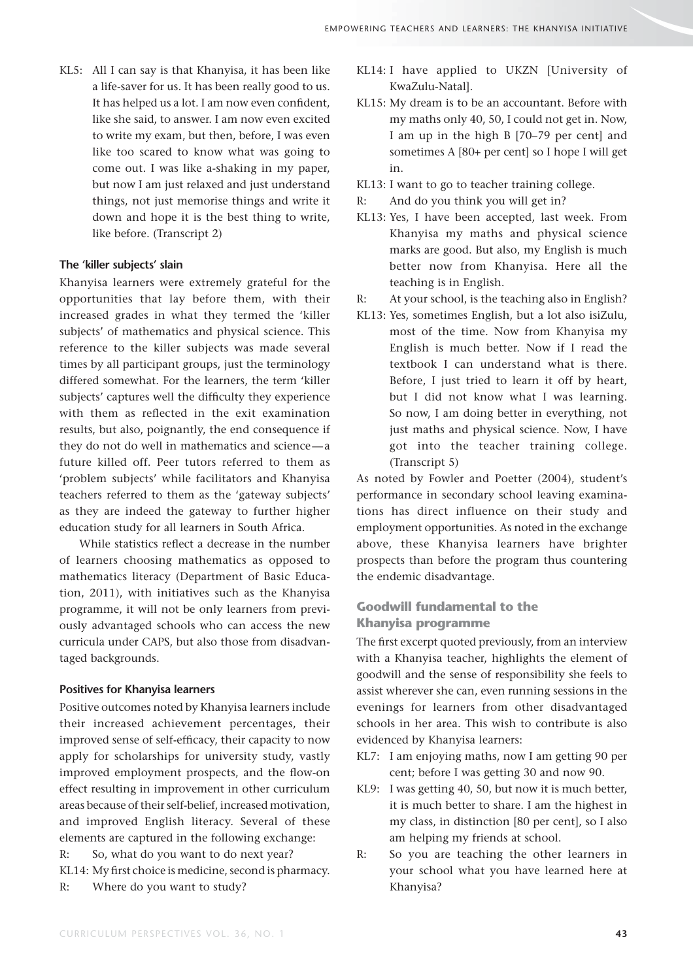KL5: All I can say is that Khanyisa, it has been like a life-saver for us. It has been really good to us. It has helped us a lot. I am now even confident, like she said, to answer. I am now even excited to write my exam, but then, before, I was even like too scared to know what was going to come out. I was like a-shaking in my paper, but now I am just relaxed and just understand things, not just memorise things and write it down and hope it is the best thing to write, like before. (Transcript 2)

#### **The 'killer subjects' slain**

Khanyisa learners were extremely grateful for the opportunities that lay before them, with their increased grades in what they termed the 'killer subjects' of mathematics and physical science. This reference to the killer subjects was made several times by all participant groups, just the terminology differed somewhat. For the learners, the term 'killer subjects' captures well the difficulty they experience with them as reflected in the exit examination results, but also, poignantly, the end consequence if they do not do well in mathematics and science — a future killed off. Peer tutors referred to them as 'problem subjects' while facilitators and Khanyisa teachers referred to them as the 'gateway subjects' as they are indeed the gateway to further higher education study for all learners in South Africa.

While statistics reflect a decrease in the number of learners choosing mathematics as opposed to mathematics literacy (Department of Basic Education, 2011), with initiatives such as the Khanyisa programme, it will not be only learners from previously advantaged schools who can access the new curricula under CAPS, but also those from disadvantaged backgrounds.

#### **Positives for Khanyisa learners**

Positive outcomes noted by Khanyisa learners include their increased achievement percentages, their improved sense of self-efficacy, their capacity to now apply for scholarships for university study, vastly improved employment prospects, and the flow-on effect resulting in improvement in other curriculum areas because of their self-belief, increased motivation, and improved English literacy. Several of these elements are captured in the following exchange: R: So, what do you want to do next year? KL14: My first choice is medicine, second is pharmacy. R: Where do you want to study?

- KL14: I have applied to UKZN [University of KwaZulu-Natal].
	- KL15: My dream is to be an accountant. Before with my maths only 40, 50, I could not get in. Now, I am up in the high B [70–79 per cent] and sometimes A [80+ per cent] so I hope I will get in.
	- KL13: I want to go to teacher training college.
	- R: And do you think you will get in?
	- KL13: Yes, I have been accepted, last week. From Khanyisa my maths and physical science marks are good. But also, my English is much better now from Khanyisa. Here all the teaching is in English.
	- R: At your school, is the teaching also in English?
	- KL13: Yes, sometimes English, but a lot also isiZulu, most of the time. Now from Khanyisa my English is much better. Now if I read the textbook I can understand what is there. Before, I just tried to learn it off by heart, but I did not know what I was learning. So now, I am doing better in everything, not just maths and physical science. Now, I have got into the teacher training college. (Transcript 5)

As noted by Fowler and Poetter (2004), student's performance in secondary school leaving examinations has direct influence on their study and employment opportunities. As noted in the exchange above, these Khanyisa learners have brighter prospects than before the program thus countering the endemic disadvantage.

# **Goodwill fundamental to the Khanyisa programme**

The first excerpt quoted previously, from an interview with a Khanyisa teacher, highlights the element of goodwill and the sense of responsibility she feels to assist wherever she can, even running sessions in the evenings for learners from other disadvantaged schools in her area. This wish to contribute is also evidenced by Khanyisa learners:

- KL7: I am enjoying maths, now I am getting 90 per cent; before I was getting 30 and now 90.
- KL9: I was getting 40, 50, but now it is much better, it is much better to share. I am the highest in my class, in distinction [80 per cent], so I also am helping my friends at school.
- R: So you are teaching the other learners in your school what you have learned here at Khanyisa?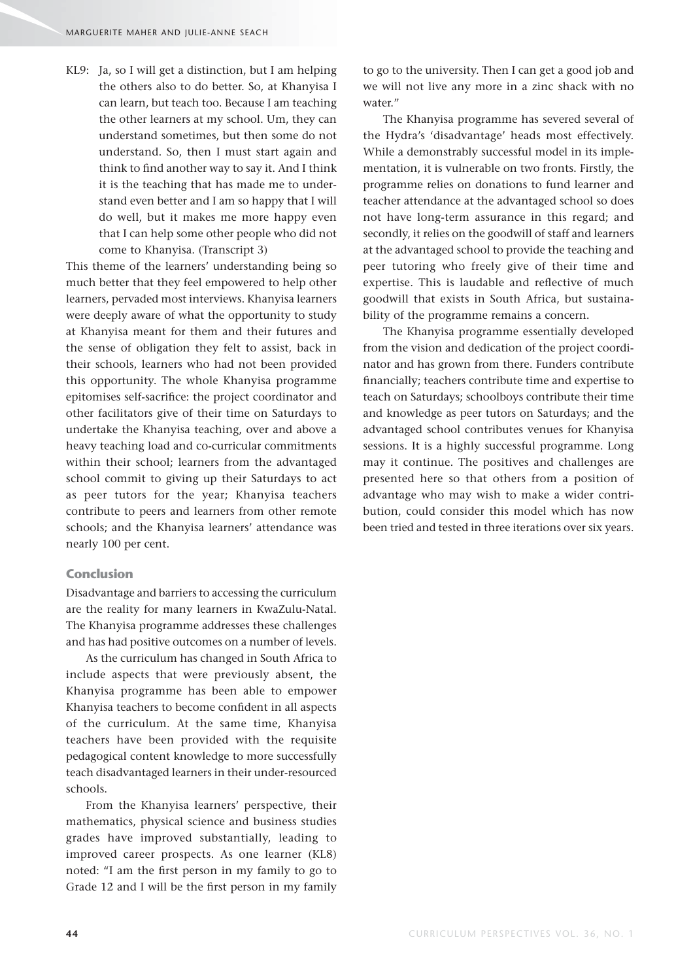KL9: Ja, so I will get a distinction, but I am helping the others also to do better. So, at Khanyisa I can learn, but teach too. Because I am teaching the other learners at my school. Um, they can understand sometimes, but then some do not understand. So, then I must start again and think to find another way to say it. And I think it is the teaching that has made me to understand even better and I am so happy that I will do well, but it makes me more happy even that I can help some other people who did not come to Khanyisa. (Transcript 3)

This theme of the learners' understanding being so much better that they feel empowered to help other learners, pervaded most interviews. Khanyisa learners were deeply aware of what the opportunity to study at Khanyisa meant for them and their futures and the sense of obligation they felt to assist, back in their schools, learners who had not been provided this opportunity. The whole Khanyisa programme epitomises self-sacrifice: the project coordinator and other facilitators give of their time on Saturdays to undertake the Khanyisa teaching, over and above a heavy teaching load and co-curricular commitments within their school; learners from the advantaged school commit to giving up their Saturdays to act as peer tutors for the year; Khanyisa teachers contribute to peers and learners from other remote schools; and the Khanyisa learners' attendance was nearly 100 per cent.

#### **Conclusion**

Disadvantage and barriers to accessing the curriculum are the reality for many learners in KwaZulu-Natal. The Khanyisa programme addresses these challenges and has had positive outcomes on a number of levels.

As the curriculum has changed in South Africa to include aspects that were previously absent, the Khanyisa programme has been able to empower Khanyisa teachers to become confident in all aspects of the curriculum. At the same time, Khanyisa teachers have been provided with the requisite pedagogical content knowledge to more successfully teach disadvantaged learners in their under-resourced schools.

From the Khanyisa learners' perspective, their mathematics, physical science and business studies grades have improved substantially, leading to improved career prospects. As one learner (KL8) noted: "I am the first person in my family to go to Grade 12 and I will be the first person in my family to go to the university. Then I can get a good job and we will not live any more in a zinc shack with no water."

The Khanyisa programme has severed several of the Hydra's 'disadvantage' heads most effectively. While a demonstrably successful model in its implementation, it is vulnerable on two fronts. Firstly, the programme relies on donations to fund learner and teacher attendance at the advantaged school so does not have long-term assurance in this regard; and secondly, it relies on the goodwill of staff and learners at the advantaged school to provide the teaching and peer tutoring who freely give of their time and expertise. This is laudable and reflective of much goodwill that exists in South Africa, but sustainability of the programme remains a concern.

The Khanyisa programme essentially developed from the vision and dedication of the project coordinator and has grown from there. Funders contribute financially; teachers contribute time and expertise to teach on Saturdays; schoolboys contribute their time and knowledge as peer tutors on Saturdays; and the advantaged school contributes venues for Khanyisa sessions. It is a highly successful programme. Long may it continue. The positives and challenges are presented here so that others from a position of advantage who may wish to make a wider contribution, could consider this model which has now been tried and tested in three iterations over six years.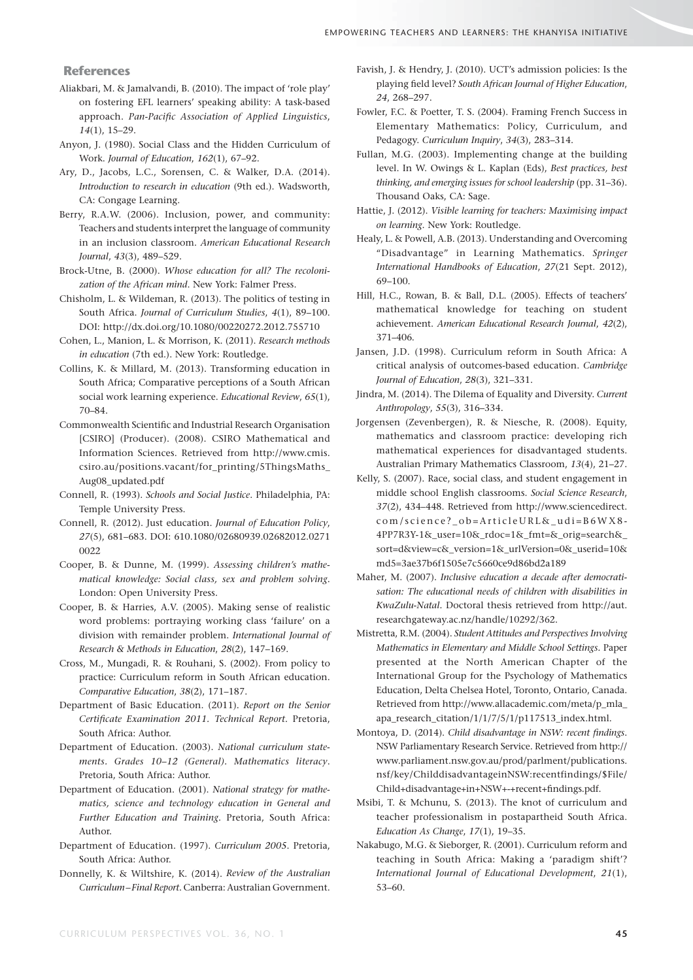#### **References**

- Aliakbari, M. & Jamalvandi, B. (2010). The impact of 'role play' on fostering EFL learners' speaking ability: A task-based approach. Pan-Pacific Association of Applied Linguistics, *14*(1), 15–29.
- Anyon, J. (1980). Social Class and the Hidden Curriculum of Work. *Journal of Education*, *162*(1), 67–92.
- Ary, D., Jacobs, L.C., Sorensen, C. & Walker, D.A. (2014). *Introduction to research in education* (9th ed.). Wadsworth, CA: Congage Learning.
- Berry, R.A.W. (2006). Inclusion, power, and community: Teachers and students interpret the language of community in an inclusion classroom. *American Educational Research Journal*, *43*(3), 489–529.
- Brock-Utne, B. (2000). *Whose education for all? The recolonization of the African mind*. New York: Falmer Press.
- Chisholm, L. & Wildeman, R. (2013). The politics of testing in South Africa. *Journal of Curriculum Studies*, *4*(1), 89–100. DOI: http://dx.doi.org/10.1080/00220272.2012.755710
- Cohen, L., Manion, L. & Morrison, K. (2011). *Research methods in education* (7th ed.). New York: Routledge.
- Collins, K. & Millard, M. (2013). Transforming education in South Africa; Comparative perceptions of a South African social work learning experience. *Educational Review*, *65*(1), 70–84.
- Commonwealth Scientific and Industrial Research Organisation [CSIRO] (Producer). (2008). CSIRO Mathematical and Information Sciences. Retrieved from http://www.cmis. csiro.au/positions.vacant/for\_printing/5ThingsMaths\_ Aug08\_updated.pdf
- Connell, R. (1993). *Schools and Social Justice*. Philadelphia, PA: Temple University Press.
- Connell, R. (2012). Just education. *Journal of Education Policy*, *27*(5), 681–683. DOI: 610.1080/02680939.02682012.0271 0022
- Cooper, B. & Dunne, M. (1999). *Assessing children's mathematical knowledge: Social class, sex and problem solving*. London: Open University Press.
- Cooper, B. & Harries, A.V. (2005). Making sense of realistic word problems: portraying working class 'failure' on a division with remainder problem. *International Journal of Research & Methods in Education*, *28*(2), 147–169.
- Cross, M., Mungadi, R. & Rouhani, S. (2002). From policy to practice: Curriculum reform in South African education. *Comparative Education*, *38*(2), 171–187.
- Department of Basic Education. (2011). *Report on the Senior Certifi cate Examination 2011. Technical Report*. Pretoria, South Africa: Author.
- Department of Education. (2003). *National curriculum statements. Grades 10–12 (General). Mathematics literacy*. Pretoria, South Africa: Author.
- Department of Education. (2001). *National strategy for mathematics, science and technology education in General and Further Education and Training*. Pretoria, South Africa: Author.
- Department of Education. (1997). *Curriculum 2005*. Pretoria, South Africa: Author.
- Donnelly, K. & Wiltshire, K. (2014). *Review of the Australian Curriculum – Final Report*. Canberra: Australian Government.
- Favish, J. & Hendry, J. (2010). UCT's admission policies: Is the playing field level? South African Journal of Higher Education, *24*, 268–297.
- Fowler, F.C. & Poetter, T. S. (2004). Framing French Success in Elementary Mathematics: Policy, Curriculum, and Pedagogy. *Curriculum Inquiry*, *34*(3), 283–314.
- Fullan, M.G. (2003). Implementing change at the building level. In W. Owings & L. Kaplan (Eds), *Best practices, best thinking, and emerging issues for school leadership* (pp. 31–36). Thousand Oaks, CA: Sage.
- Hattie, J. (2012). *Visible learning for teachers: Maximising impact on learning*. New York: Routledge.
- Healy, L. & Powell, A.B. (2013). Understanding and Overcoming "Disadvantage" in Learning Mathematics. *Springer International Handbooks of Education*, *27*(21 Sept. 2012), 69–100.
- Hill, H.C., Rowan, B. & Ball, D.L. (2005). Effects of teachers' mathematical knowledge for teaching on student achievement. *American Educational Research Journal*, *42*(2), 371–406.
- Jansen, J.D. (1998). Curriculum reform in South Africa: A critical analysis of outcomes-based education. *Cambridge Journal of Education*, *28*(3), 321–331.
- Jindra, M. (2014). The Dilema of Equality and Diversity. *Current Anthropology*, *55*(3), 316–334.
- Jorgensen (Zevenbergen), R. & Niesche, R. (2008). Equity, mathematics and classroom practice: developing rich mathematical experiences for disadvantaged students. Australian Primary Mathematics Classroom, *13*(4), 21–27.
- Kelly, S. (2007). Race, social class, and student engagement in middle school English classrooms. *Social Science Research*, *37*(2), 434–448. Retrieved from http://www.sciencedirect. com/science?\_ob=ArticleURL&\_udi=B6WX8- 4PP7R3Y-1&\_user=10&\_rdoc=1&\_fmt=&\_orig=search&\_ sort=d&view=c&\_version=1&\_urlVersion=0&\_userid=10& md5=3ae37b6f1505e7c5660ce9d86bd2a189
- Maher, M. (2007). *Inclusive education a decade after democratisation: The educational needs of children with disabilities in KwaZulu-Natal.* Doctoral thesis retrieved from http://aut. researchgateway.ac.nz/handle/10292/362.
- Mistretta, R.M. (2004). *Student Attitudes and Perspectives Involving Mathematics in Elementary and Middle School Settings.* Paper presented at the North American Chapter of the International Group for the Psychology of Mathematics Education, Delta Chelsea Hotel, Toronto, Ontario, Canada. Retrieved from http://www.allacademic.com/meta/p\_mla\_ apa\_research\_citation/1/1/7/5/1/p117513\_index.html.
- Montoya, D. (2014). *Child disadvantage in NSW: recent findings*. NSW Parliamentary Research Service. Retrieved from http:// www.parliament.nsw.gov.au/prod/parlment/publications. nsf/key/ChilddisadvantageinNSW:recentfindings/\$File/ Child+disadvantage+in+NSW+-+recent+findings.pdf.
- Msibi, T. & Mchunu, S. (2013). The knot of curriculum and teacher professionalism in postapartheid South Africa. *Education As Change*, *17*(1), 19–35.
- Nakabugo, M.G. & Sieborger, R. (2001). Curriculum reform and teaching in South Africa: Making a 'paradigm shift'? *International Journal of Educational Development*, *21*(1), 53–60.